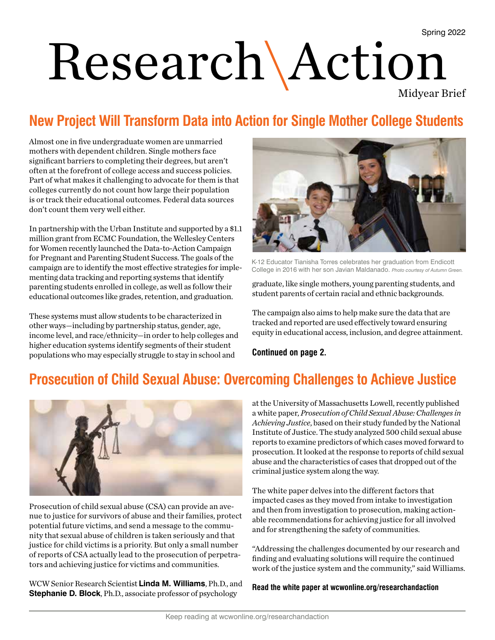# Research\Action

Midyear Brief

## **New Project Will Transform Data into Action for Single Mother College Students**

Almost one in five undergraduate women are unmarried mothers with dependent children. Single mothers face significant barriers to completing their degrees, but aren't often at the forefront of college access and success policies. Part of what makes it challenging to advocate for them is that colleges currently do not count how large their population is or track their educational outcomes. Federal data sources don't count them very well either.

In partnership with the Urban Institute and supported by a \$1.1 million grant from ECMC Foundation, the Wellesley Centers for Women recently launched the Data-to-Action Campaign for Pregnant and Parenting Student Success. The goals of the campaign are to identify the most effective strategies for implementing data tracking and reporting systems that identify parenting students enrolled in college, as well as follow their educational outcomes like grades, retention, and graduation.

These systems must allow students to be characterized in other ways—including by partnership status, gender, age, income level, and race/ethnicity—in order to help colleges and higher education systems identify segments of their student populations who may especially struggle to stay in school and



K-12 Educator Tianisha Torres celebrates her graduation from Endicott College in 2016 with her son Javian Maldanado. *Photo courtesy of Autumn Green.*

graduate, like single mothers, young parenting students, and student parents of certain racial and ethnic backgrounds.

The campaign also aims to help make sure the data that are tracked and reported are used effectively toward ensuring equity in educational access, inclusion, and degree attainment.

**Continued on page 2.**

## **Prosecution of Child Sexual Abuse: Overcoming Challenges to Achieve Justice**



Prosecution of child sexual abuse (CSA) can provide an avenue to justice for survivors of abuse and their families, protect potential future victims, and send a message to the community that sexual abuse of children is taken seriously and that justice for child victims is a priority. But only a small number of reports of CSA actually lead to the prosecution of perpetrators and achieving justice for victims and communities.

WCW Senior Research Scientist **Linda M. Williams**, Ph.D., and **Stephanie D. Block**, Ph.D., associate professor of psychology

at the University of Massachusetts Lowell, recently published a white paper, *Prosecution of Child Sexual Abuse: Challenges in Achieving Justice*, based on their study funded by the National Institute of Justice. The study analyzed 500 child sexual abuse reports to examine predictors of which cases moved forward to prosecution. It looked at the response to reports of child sexual abuse and the characteristics of cases that dropped out of the criminal justice system along the way.

The white paper delves into the different factors that impacted cases as they moved from intake to investigation and then from investigation to prosecution, making actionable recommendations for achieving justice for all involved and for strengthening the safety of communities.

"Addressing the challenges documented by our research and finding and evaluating solutions will require the continued work of the justice system and the community," said Williams.

#### **Read the white paper at wcwonline.org/researchandaction**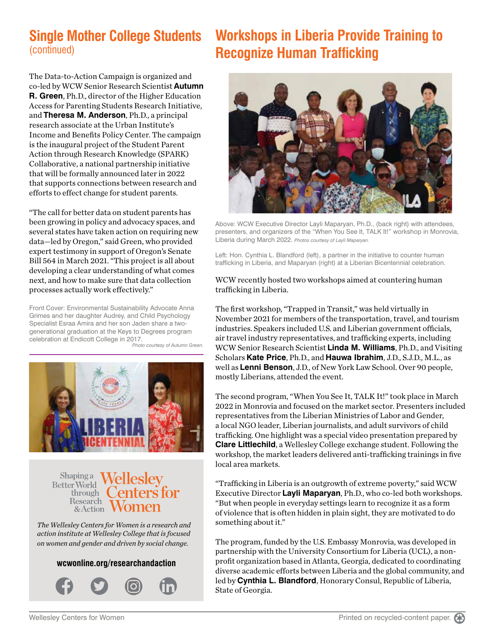## **Single Mother College Students** (continued)

The Data-to-Action Campaign is organized and co-led by WCW Senior Research Scientist **Autumn R. Green**, Ph.D., director of the Higher Education Access for Parenting Students Research Initiative, and **Theresa M. Anderson**, Ph.D., a principal research associate at the Urban Institute's Income and Benefits Policy Center. The campaign is the inaugural project of the Student Parent Action through Research Knowledge (SPARK) Collaborative, a national partnership initiative that will be formally announced later in 2022 that supports connections between research and efforts to effect change for student parents.

"The call for better data on student parents has been growing in policy and advocacy spaces, and several states have taken action on requiring new data—led by Oregon," said Green, who provided expert testimony in support of Oregon's Senate Bill 564 in March 2021. "This project is all about developing a clear understanding of what comes next, and how to make sure that data collection processes actually work effectively."

Front Cover: Environmental Sustainability Advocate Anna Grimes and her daughter Audrey, and Child Psychology Specialist Esraa Amira and her son Jaden share a twogenerational graduation at the Keys to Degrees program celebration at Endicott College in 2017.





**Shapinga** Wellesley **Better World** enters for through  $\left($ **Research** & Action

*The Wellesley Centers for Women is a research and action institute at Wellesley College that is focused on women and gender and driven by social change.* 

#### **wcwonline.org/researchandaction**



## **Workshops in Liberia Provide Training to Recognize Human Trafficking**



Above: WCW Executive Director Layli Maparyan, Ph.D., (back right) with attendees, presenters, and organizers of the "When You See It, TALK It!" workshop in Monrovia, Liberia during March 2022. *Photos courtesy of Layli Maparyan.*

Left: Hon. Cynthia L. Blandford (left), a partner in the initiative to counter human trafficking in Liberia, and Maparyan (right) at a Liberian Bicentennial celebration.

#### WCW recently hosted two workshops aimed at countering human trafficking in Liberia.

The first workshop, "Trapped in Transit," was held virtually in November 2021 for members of the transportation, travel, and tourism industries. Speakers included U.S. and Liberian government officials, air travel industry representatives, and trafficking experts, including WCW Senior Research Scientist **Linda M. Williams**, Ph.D., and Visiting Scholars **Kate Price**, Ph.D., and **Hauwa Ibrahim**, J.D., S.J.D., M.L., as well as **Lenni Benson**, J.D., of New York Law School. Over 90 people, mostly Liberians, attended the event.

The second program, "When You See It, TALK It!" took place in March 2022 in Monrovia and focused on the market sector. Presenters included representatives from the Liberian Ministries of Labor and Gender, a local NGO leader, Liberian journalists, and adult survivors of child trafficking. One highlight was a special video presentation prepared by **Clare Littlechild**, a Wellesley College exchange student. Following the workshop, the market leaders delivered anti-trafficking trainings in five local area markets.

"Trafficking in Liberia is an outgrowth of extreme poverty," said WCW Executive Director **Layli Maparyan**, Ph.D., who co-led both workshops. "But when people in everyday settings learn to recognize it as a form of violence that is often hidden in plain sight, they are motivated to do something about it."

The program, funded by the U.S. Embassy Monrovia, was developed in partnership with the University Consortium for Liberia (UCL), a nonprofit organization based in Atlanta, Georgia, dedicated to coordinating diverse academic efforts between Liberia and the global community, and led by **Cynthia L. Blandford**, Honorary Consul, Republic of Liberia, State of Georgia.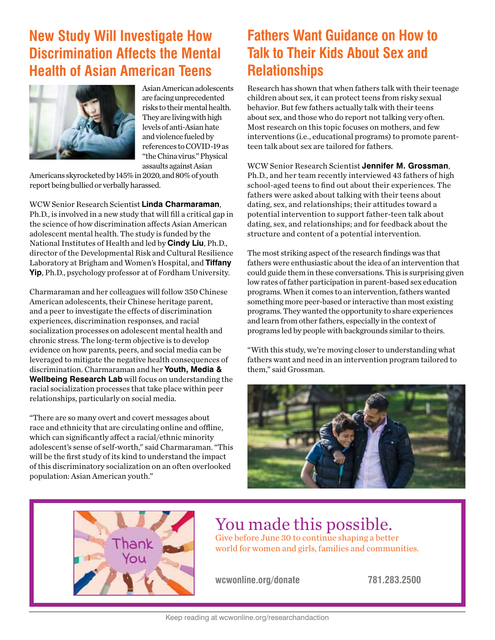## **New Study Will Investigate How Discrimination Affects the Mental Health of Asian American Teens**



Asian American adolescents are facing unprecedented risks to their mental health. They are living with high levels of anti-Asian hate and violence fueled by references to COVID-19 as "the China virus." Physical assaults against Asian

Americans skyrocketed by 145% in 2020, and 80% of youth report being bullied or verbally harassed.

WCW Senior Research Scientist **Linda Charmaraman**, Ph.D., is involved in a new study that will fill a critical gap in the science of how discrimination affects Asian American adolescent mental health. The study is funded by the National Institutes of Health and led by **Cindy Liu**, Ph.D., director of the Developmental Risk and Cultural Resilience Laboratory at Brigham and Women's Hospital, and **Tiffany Yip**, Ph.D., psychology professor at of Fordham University.

Charmaraman and her colleagues will follow 350 Chinese American adolescents, their Chinese heritage parent, and a peer to investigate the effects of discrimination experiences, discrimination responses, and racial socialization processes on adolescent mental health and chronic stress. The long-term objective is to develop evidence on how parents, peers, and social media can be leveraged to mitigate the negative health consequences of discrimination. Charmaraman and her **Youth, Media & Wellbeing Research Lab** will focus on understanding the racial socialization processes that take place within peer relationships, particularly on social media.

"There are so many overt and covert messages about race and ethnicity that are circulating online and offline, which can significantly affect a racial/ethnic minority adolescent's sense of self-worth," said Charmaraman. "This will be the first study of its kind to understand the impact of this discriminatory socialization on an often overlooked population: Asian American youth."

## **Fathers Want Guidance on How to Talk to Their Kids About Sex and Relationships**

Research has shown that when fathers talk with their teenage children about sex, it can protect teens from risky sexual behavior. But few fathers actually talk with their teens about sex, and those who do report not talking very often. Most research on this topic focuses on mothers, and few interventions (i.e., educational programs) to promote parentteen talk about sex are tailored for fathers.

WCW Senior Research Scientist **Jennifer M. Grossman**, Ph.D., and her team recently interviewed 43 fathers of high school-aged teens to find out about their experiences. The fathers were asked about talking with their teens about dating, sex, and relationships; their attitudes toward a potential intervention to support father-teen talk about dating, sex, and relationships; and for feedback about the structure and content of a potential intervention.

The most striking aspect of the research findings was that fathers were enthusiastic about the idea of an intervention that could guide them in these conversations. This is surprising given low rates of father participation in parent-based sex education programs. When it comes to an intervention, fathers wanted something more peer-based or interactive than most existing programs. They wanted the opportunity to share experiences and learn from other fathers, especially in the context of programs led by people with backgrounds similar to theirs.

"With this study, we're moving closer to understanding what fathers want and need in an intervention program tailored to them," said Grossman.





### You made this possible. Give before June 30 to continue shaping a better world for women and girls, families and communities.

**wcwonline.org/donate 781.283.2500**